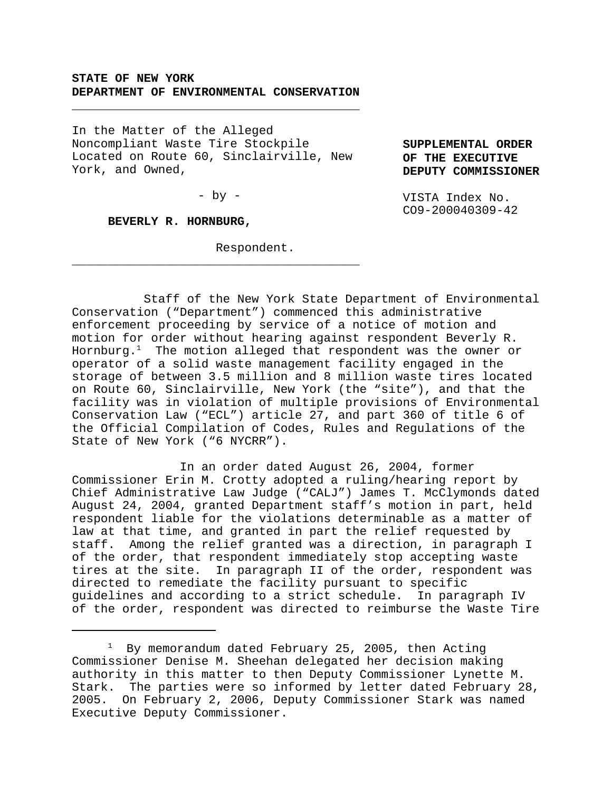# **STATE OF NEW YORK DEPARTMENT OF ENVIRONMENTAL CONSERVATION**

\_\_\_\_\_\_\_\_\_\_\_\_\_\_\_\_\_\_\_\_\_\_\_\_\_\_\_\_\_\_\_\_\_\_\_\_\_\_\_\_

In the Matter of the Alleged Noncompliant Waste Tire Stockpile Located on Route 60, Sinclairville, New York, and Owned,

 $-$  by  $-$ 

\_\_\_\_\_\_\_\_\_\_\_\_\_\_\_\_\_\_\_\_\_\_\_\_\_\_\_\_\_\_\_\_\_\_\_\_\_\_\_\_

**SUPPLEMENTAL ORDER OF THE EXECUTIVE DEPUTY COMMISSIONER**

VISTA Index No. CO9-200040309-42

**BEVERLY R. HORNBURG,**

Respondent.

Staff of the New York State Department of Environmental Conservation ("Department") commenced this administrative enforcement proceeding by service of a notice of motion and motion for order without hearing against respondent Beverly R. Hornburg. $^1$  The motion alleged that respondent was the owner or operator of a solid waste management facility engaged in the storage of between 3.5 million and 8 million waste tires located on Route 60, Sinclairville, New York (the "site"), and that the facility was in violation of multiple provisions of Environmental Conservation Law ("ECL") article 27, and part 360 of title 6 of the Official Compilation of Codes, Rules and Regulations of the State of New York ("6 NYCRR").

In an order dated August 26, 2004, former Commissioner Erin M. Crotty adopted a ruling/hearing report by Chief Administrative Law Judge ("CALJ") James T. McClymonds dated August 24, 2004, granted Department staff's motion in part, held respondent liable for the violations determinable as a matter of law at that time, and granted in part the relief requested by staff. Among the relief granted was a direction, in paragraph I of the order, that respondent immediately stop accepting waste tires at the site. In paragraph II of the order, respondent was directed to remediate the facility pursuant to specific guidelines and according to a strict schedule. In paragraph IV of the order, respondent was directed to reimburse the Waste Tire

<sup>1</sup> By memorandum dated February 25, 2005, then Acting Commissioner Denise M. Sheehan delegated her decision making authority in this matter to then Deputy Commissioner Lynette M. Stark. The parties were so informed by letter dated February 28, 2005. On February 2, 2006, Deputy Commissioner Stark was named Executive Deputy Commissioner.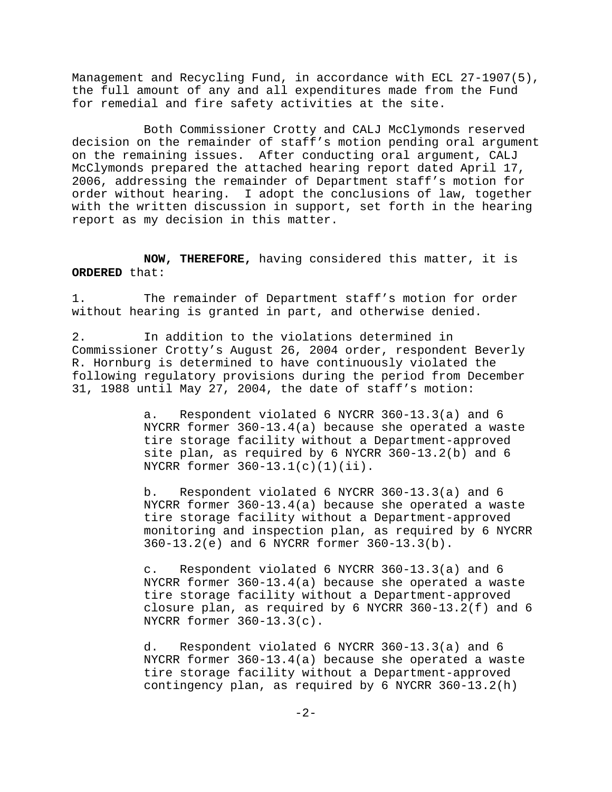Management and Recycling Fund, in accordance with ECL 27-1907(5), the full amount of any and all expenditures made from the Fund for remedial and fire safety activities at the site.

Both Commissioner Crotty and CALJ McClymonds reserved decision on the remainder of staff's motion pending oral argument on the remaining issues. After conducting oral argument, CALJ McClymonds prepared the attached hearing report dated April 17, 2006, addressing the remainder of Department staff's motion for order without hearing. I adopt the conclusions of law, together with the written discussion in support, set forth in the hearing report as my decision in this matter.

**NOW, THEREFORE,** having considered this matter, it is **ORDERED** that:

1. The remainder of Department staff's motion for order without hearing is granted in part, and otherwise denied.

2. In addition to the violations determined in Commissioner Crotty's August 26, 2004 order, respondent Beverly R. Hornburg is determined to have continuously violated the following regulatory provisions during the period from December 31, 1988 until May 27, 2004, the date of staff's motion:

> a. Respondent violated 6 NYCRR 360-13.3(a) and 6 NYCRR former 360-13.4(a) because she operated a waste tire storage facility without a Department-approved site plan, as required by 6 NYCRR 360-13.2(b) and 6 NYCRR former 360-13.1(c)(1)(ii).

b. Respondent violated 6 NYCRR 360-13.3(a) and 6 NYCRR former 360-13.4(a) because she operated a waste tire storage facility without a Department-approved monitoring and inspection plan, as required by 6 NYCRR 360-13.2(e) and 6 NYCRR former 360-13.3(b).

c. Respondent violated 6 NYCRR 360-13.3(a) and 6 NYCRR former 360-13.4(a) because she operated a waste tire storage facility without a Department-approved closure plan, as required by 6 NYCRR  $360-13.2(f)$  and 6 NYCRR former 360-13.3(c).

d. Respondent violated 6 NYCRR 360-13.3(a) and 6 NYCRR former 360-13.4(a) because she operated a waste tire storage facility without a Department-approved contingency plan, as required by 6 NYCRR 360-13.2(h)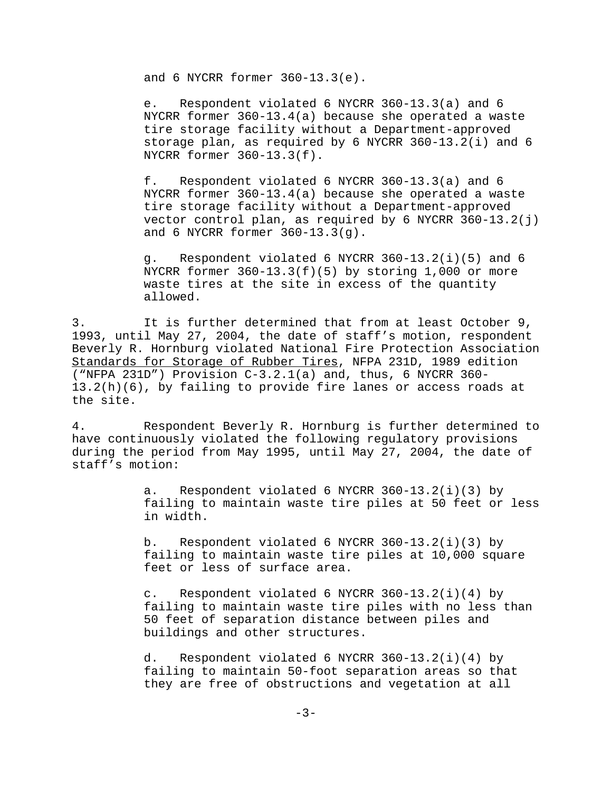and 6 NYCRR former 360-13.3(e).

e. Respondent violated 6 NYCRR 360-13.3(a) and 6 NYCRR former 360-13.4(a) because she operated a waste tire storage facility without a Department-approved storage plan, as required by 6 NYCRR 360-13.2(i) and 6 NYCRR former 360-13.3(f).

f. Respondent violated 6 NYCRR 360-13.3(a) and 6 NYCRR former 360-13.4(a) because she operated a waste tire storage facility without a Department-approved vector control plan, as required by 6 NYCRR 360-13.2(j) and 6 NYCRR former 360-13.3(g).

g. Respondent violated 6 NYCRR 360-13.2(i)(5) and 6 NYCRR former  $360-13.3(f)(5)$  by storing 1,000 or more waste tires at the site in excess of the quantity allowed.

3. It is further determined that from at least October 9, 1993, until May 27, 2004, the date of staff's motion, respondent Beverly R. Hornburg violated National Fire Protection Association Standards for Storage of Rubber Tires, NFPA 231D, 1989 edition ("NFPA 231D") Provision C-3.2.1(a) and, thus, 6 NYCRR 360- 13.2(h)(6), by failing to provide fire lanes or access roads at the site.

4. Respondent Beverly R. Hornburg is further determined to have continuously violated the following regulatory provisions during the period from May 1995, until May 27, 2004, the date of staff's motion:

> a. Respondent violated 6 NYCRR  $360-13.2(i)(3)$  by failing to maintain waste tire piles at 50 feet or less in width.

b. Respondent violated 6 NYCRR  $360-13.2(i)(3)$  by failing to maintain waste tire piles at 10,000 square feet or less of surface area.

c. Respondent violated 6 NYCRR 360-13.2(i)(4) by failing to maintain waste tire piles with no less than 50 feet of separation distance between piles and buildings and other structures.

d. Respondent violated 6 NYCRR 360-13.2(i)(4) by failing to maintain 50-foot separation areas so that they are free of obstructions and vegetation at all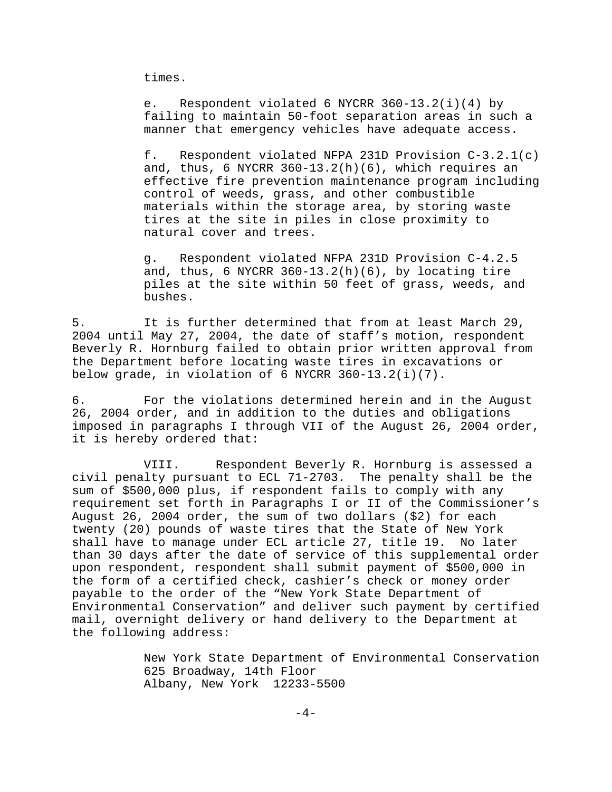times.

e. Respondent violated 6 NYCRR 360-13.2(i)(4) by failing to maintain 50-foot separation areas in such a manner that emergency vehicles have adequate access.

f. Respondent violated NFPA 231D Provision C-3.2.1(c) and, thus, 6 NYCRR  $360-13.2(h)(6)$ , which requires an effective fire prevention maintenance program including control of weeds, grass, and other combustible materials within the storage area, by storing waste tires at the site in piles in close proximity to natural cover and trees.

g. Respondent violated NFPA 231D Provision C-4.2.5 and, thus, 6 NYCRR  $360-13.2(h)(6)$ , by locating tire piles at the site within 50 feet of grass, weeds, and bushes.

5. It is further determined that from at least March 29, 2004 until May 27, 2004, the date of staff's motion, respondent Beverly R. Hornburg failed to obtain prior written approval from the Department before locating waste tires in excavations or below grade, in violation of 6 NYCRR 360-13.2(i)(7).

6. For the violations determined herein and in the August 26, 2004 order, and in addition to the duties and obligations imposed in paragraphs I through VII of the August 26, 2004 order, it is hereby ordered that:

VIII. Respondent Beverly R. Hornburg is assessed a civil penalty pursuant to ECL 71-2703. The penalty shall be the sum of \$500,000 plus, if respondent fails to comply with any requirement set forth in Paragraphs I or II of the Commissioner's August 26, 2004 order, the sum of two dollars (\$2) for each twenty (20) pounds of waste tires that the State of New York shall have to manage under ECL article 27, title 19. No later than 30 days after the date of service of this supplemental order upon respondent, respondent shall submit payment of \$500,000 in the form of a certified check, cashier's check or money order payable to the order of the "New York State Department of Environmental Conservation" and deliver such payment by certified mail, overnight delivery or hand delivery to the Department at the following address:

> New York State Department of Environmental Conservation 625 Broadway, 14th Floor Albany, New York 12233-5500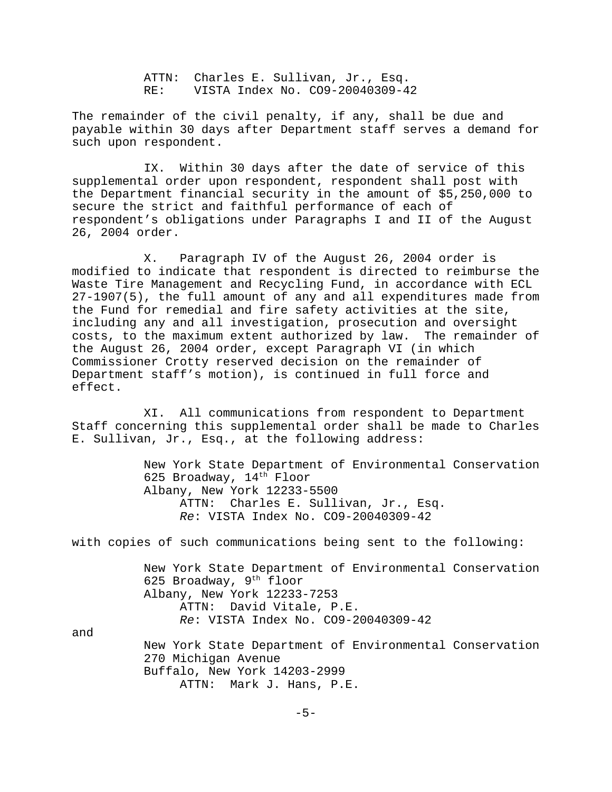ATTN: Charles E. Sullivan, Jr., Esq. RE: VISTA Index No. CO9-20040309-42

The remainder of the civil penalty, if any, shall be due and payable within 30 days after Department staff serves a demand for such upon respondent.

IX. Within 30 days after the date of service of this supplemental order upon respondent, respondent shall post with the Department financial security in the amount of \$5,250,000 to secure the strict and faithful performance of each of respondent's obligations under Paragraphs I and II of the August 26, 2004 order.

X. Paragraph IV of the August 26, 2004 order is modified to indicate that respondent is directed to reimburse the Waste Tire Management and Recycling Fund, in accordance with ECL 27-1907(5), the full amount of any and all expenditures made from the Fund for remedial and fire safety activities at the site, including any and all investigation, prosecution and oversight costs, to the maximum extent authorized by law. The remainder of the August 26, 2004 order, except Paragraph VI (in which Commissioner Crotty reserved decision on the remainder of Department staff's motion), is continued in full force and effect.

XI. All communications from respondent to Department Staff concerning this supplemental order shall be made to Charles E. Sullivan, Jr., Esq., at the following address:

> New York State Department of Environmental Conservation 625 Broadway, 14<sup>th</sup> Floor Albany, New York 12233-5500 ATTN: Charles E. Sullivan, Jr., Esq. *Re*: VISTA Index No. CO9-20040309-42

with copies of such communications being sent to the following:

New York State Department of Environmental Conservation 625 Broadway,  $9<sup>th</sup>$  floor Albany, New York 12233-7253 ATTN: David Vitale, P.E. *Re*: VISTA Index No. CO9-20040309-42

and

New York State Department of Environmental Conservation 270 Michigan Avenue Buffalo, New York 14203-2999 ATTN: Mark J. Hans, P.E.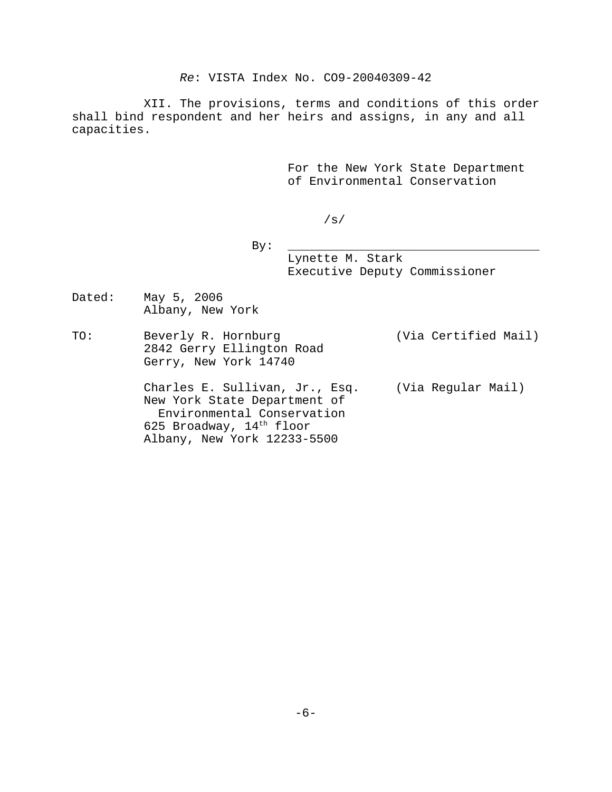*Re*: VISTA Index No. CO9-20040309-42

XII. The provisions, terms and conditions of this order shall bind respondent and her heirs and assigns, in any and all capacities.

> For the New York State Department of Environmental Conservation

> > /s/

 By: \_\_\_\_\_\_\_\_\_\_\_\_\_\_\_\_\_\_\_\_\_\_\_\_\_\_\_\_\_\_\_\_\_\_\_ Lynette M. Stark Executive Deputy Commissioner

Dated: May 5, 2006 Albany, New York

TO: Beverly R. Hornburg (Via Certified Mail) 2842 Gerry Ellington Road Gerry, New York 14740

> Charles E. Sullivan, Jr., Esq. (Via Regular Mail) New York State Department of Environmental Conservation 625 Broadway, 14th floor Albany, New York 12233-5500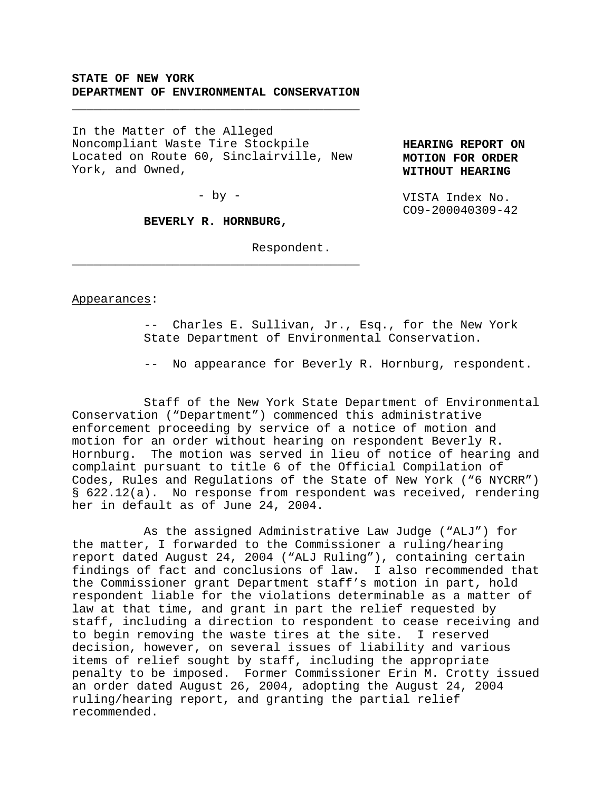# **STATE OF NEW YORK DEPARTMENT OF ENVIRONMENTAL CONSERVATION**

\_\_\_\_\_\_\_\_\_\_\_\_\_\_\_\_\_\_\_\_\_\_\_\_\_\_\_\_\_\_\_\_\_\_\_\_\_\_\_\_

In the Matter of the Alleged Noncompliant Waste Tire Stockpile Located on Route 60, Sinclairville, New York, and Owned,

**HEARING REPORT ON MOTION FOR ORDER WITHOUT HEARING**

VISTA Index No. CO9-200040309-42

 $-$  by  $-$ 

### **BEVERLY R. HORNBURG,**

\_\_\_\_\_\_\_\_\_\_\_\_\_\_\_\_\_\_\_\_\_\_\_\_\_\_\_\_\_\_\_\_\_\_\_\_\_\_\_\_

Respondent.

Appearances:

-- Charles E. Sullivan, Jr., Esq., for the New York State Department of Environmental Conservation.

-- No appearance for Beverly R. Hornburg, respondent.

Staff of the New York State Department of Environmental Conservation ("Department") commenced this administrative enforcement proceeding by service of a notice of motion and motion for an order without hearing on respondent Beverly R. Hornburg. The motion was served in lieu of notice of hearing and complaint pursuant to title 6 of the Official Compilation of Codes, Rules and Regulations of the State of New York ("6 NYCRR") § 622.12(a). No response from respondent was received, rendering her in default as of June 24, 2004.

As the assigned Administrative Law Judge ("ALJ") for the matter, I forwarded to the Commissioner a ruling/hearing report dated August 24, 2004 ("ALJ Ruling"), containing certain findings of fact and conclusions of law. I also recommended that the Commissioner grant Department staff's motion in part, hold respondent liable for the violations determinable as a matter of law at that time, and grant in part the relief requested by staff, including a direction to respondent to cease receiving and to begin removing the waste tires at the site. I reserved decision, however, on several issues of liability and various items of relief sought by staff, including the appropriate penalty to be imposed. Former Commissioner Erin M. Crotty issued an order dated August 26, 2004, adopting the August 24, 2004 ruling/hearing report, and granting the partial relief recommended.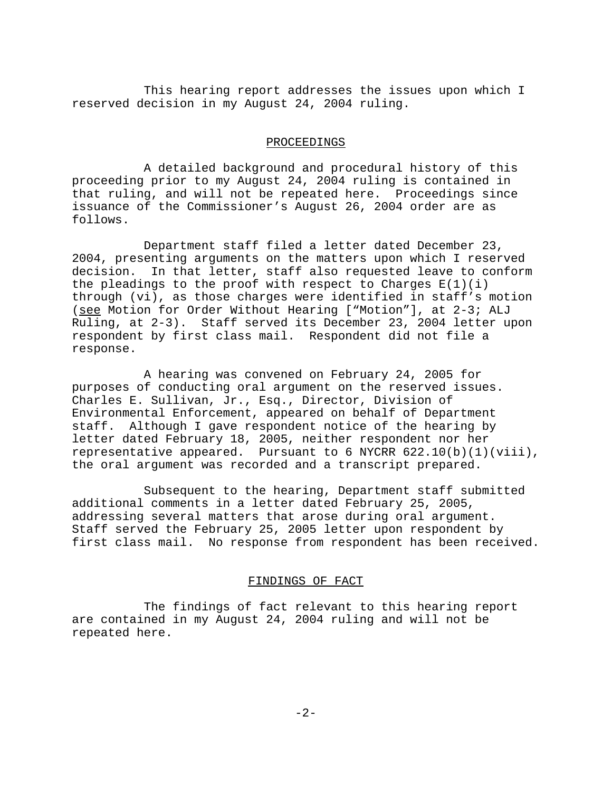This hearing report addresses the issues upon which I reserved decision in my August 24, 2004 ruling.

### PROCEEDINGS

A detailed background and procedural history of this proceeding prior to my August 24, 2004 ruling is contained in that ruling, and will not be repeated here. Proceedings since issuance of the Commissioner's August 26, 2004 order are as follows.

Department staff filed a letter dated December 23, 2004, presenting arguments on the matters upon which I reserved decision. In that letter, staff also requested leave to conform the pleadings to the proof with respect to Charges  $E(1)(i)$ through (vi), as those charges were identified in staff's motion (see Motion for Order Without Hearing ["Motion"], at 2-3; ALJ Ruling, at 2-3). Staff served its December 23, 2004 letter upon respondent by first class mail. Respondent did not file a response.

A hearing was convened on February 24, 2005 for purposes of conducting oral argument on the reserved issues. Charles E. Sullivan, Jr., Esq., Director, Division of Environmental Enforcement, appeared on behalf of Department staff. Although I gave respondent notice of the hearing by letter dated February 18, 2005, neither respondent nor her representative appeared. Pursuant to 6 NYCRR  $622.10(b)(1)(viii)$ , the oral argument was recorded and a transcript prepared.

Subsequent to the hearing, Department staff submitted additional comments in a letter dated February 25, 2005, addressing several matters that arose during oral argument. Staff served the February 25, 2005 letter upon respondent by first class mail. No response from respondent has been received.

#### FINDINGS OF FACT

The findings of fact relevant to this hearing report are contained in my August 24, 2004 ruling and will not be repeated here.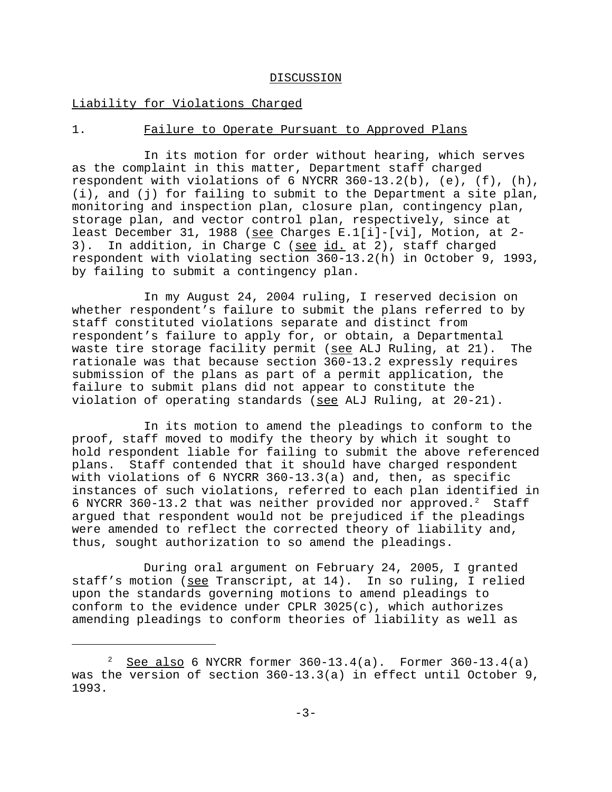#### DISCUSSION

# Liability for Violations Charged

# 1. Failure to Operate Pursuant to Approved Plans

In its motion for order without hearing, which serves as the complaint in this matter, Department staff charged respondent with violations of 6 NYCRR 360-13.2(b),  $(e)$ ,  $(f)$ ,  $(h)$ , (i), and (j) for failing to submit to the Department a site plan, monitoring and inspection plan, closure plan, contingency plan, storage plan, and vector control plan, respectively, since at least December 31, 1988 (see Charges E.1[i]-[vi], Motion, at 2-3). In addition, in Charge C (see id. at 2), staff charged respondent with violating section 360-13.2(h) in October 9, 1993, by failing to submit a contingency plan.

In my August 24, 2004 ruling, I reserved decision on whether respondent's failure to submit the plans referred to by staff constituted violations separate and distinct from respondent's failure to apply for, or obtain, a Departmental waste tire storage facility permit (see ALJ Ruling, at 21). The rationale was that because section 360-13.2 expressly requires submission of the plans as part of a permit application, the failure to submit plans did not appear to constitute the violation of operating standards ( $\frac{1}{2}$  and  $\frac{1}{2}$  Ruling, at 20-21).

In its motion to amend the pleadings to conform to the proof, staff moved to modify the theory by which it sought to hold respondent liable for failing to submit the above referenced plans. Staff contended that it should have charged respondent with violations of 6 NYCRR 360-13.3(a) and, then, as specific instances of such violations, referred to each plan identified in 6 NYCRR 360-13.2 that was neither provided nor approved.<sup>2</sup> Staff argued that respondent would not be prejudiced if the pleadings were amended to reflect the corrected theory of liability and, thus, sought authorization to so amend the pleadings.

During oral argument on February 24, 2005, I granted staff's motion (see Transcript, at 14). In so ruling, I relied upon the standards governing motions to amend pleadings to conform to the evidence under CPLR 3025(c), which authorizes amending pleadings to conform theories of liability as well as

<sup>&</sup>lt;sup>2</sup> See also 6 NYCRR former  $360-13.4(a)$ . Former  $360-13.4(a)$ was the version of section 360-13.3(a) in effect until October 9, 1993.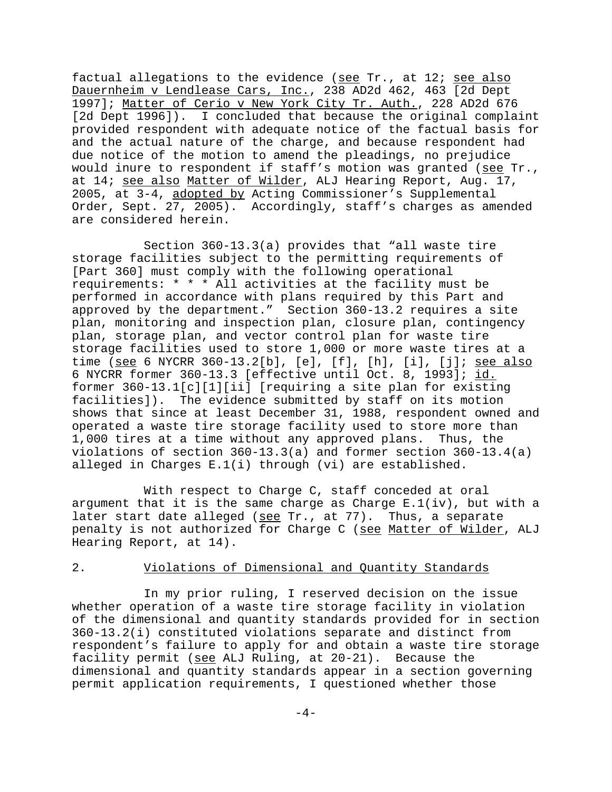factual allegations to the evidence (see Tr., at 12; see also Dauernheim v Lendlease Cars, Inc., 238 AD2d 462, 463 [2d Dept 1997]; Matter of Cerio v New York City Tr. Auth., 228 AD2d 676 [2d Dept 1996]). I concluded that because the original complaint provided respondent with adequate notice of the factual basis for and the actual nature of the charge, and because respondent had due notice of the motion to amend the pleadings, no prejudice would inure to respondent if staff's motion was granted (see Tr., at 14; see also Matter of Wilder, ALJ Hearing Report, Aug. 17, 2005, at 3-4, adopted by Acting Commissioner's Supplemental Order, Sept. 27, 2005). Accordingly, staff's charges as amended are considered herein.

Section 360-13.3(a) provides that "all waste tire storage facilities subject to the permitting requirements of [Part 360] must comply with the following operational requirements: \* \* \* All activities at the facility must be performed in accordance with plans required by this Part and approved by the department." Section 360-13.2 requires a site plan, monitoring and inspection plan, closure plan, contingency plan, storage plan, and vector control plan for waste tire storage facilities used to store 1,000 or more waste tires at a time (see 6 NYCRR 360-13.2[b], [e], [f], [h], [i], [j]; see also 6 NYCRR former 360-13.3 [effective until Oct. 8, 1993]; id. former 360-13.1[c][1][ii] [requiring a site plan for existing facilities]). The evidence submitted by staff on its motion shows that since at least December 31, 1988, respondent owned and operated a waste tire storage facility used to store more than 1,000 tires at a time without any approved plans. Thus, the violations of section 360-13.3(a) and former section 360-13.4(a) alleged in Charges E.1(i) through (vi) are established.

With respect to Charge C, staff conceded at oral argument that it is the same charge as Charge  $E.L(iv)$ , but with a later start date alleged (see Tr., at 77). Thus, a separate penalty is not authorized for Charge C (see Matter of Wilder, ALJ Hearing Report, at 14).

# 2. Violations of Dimensional and Quantity Standards

In my prior ruling, I reserved decision on the issue whether operation of a waste tire storage facility in violation of the dimensional and quantity standards provided for in section 360-13.2(i) constituted violations separate and distinct from respondent's failure to apply for and obtain a waste tire storage facility permit (see ALJ Ruling, at 20-21). Because the dimensional and quantity standards appear in a section governing permit application requirements, I questioned whether those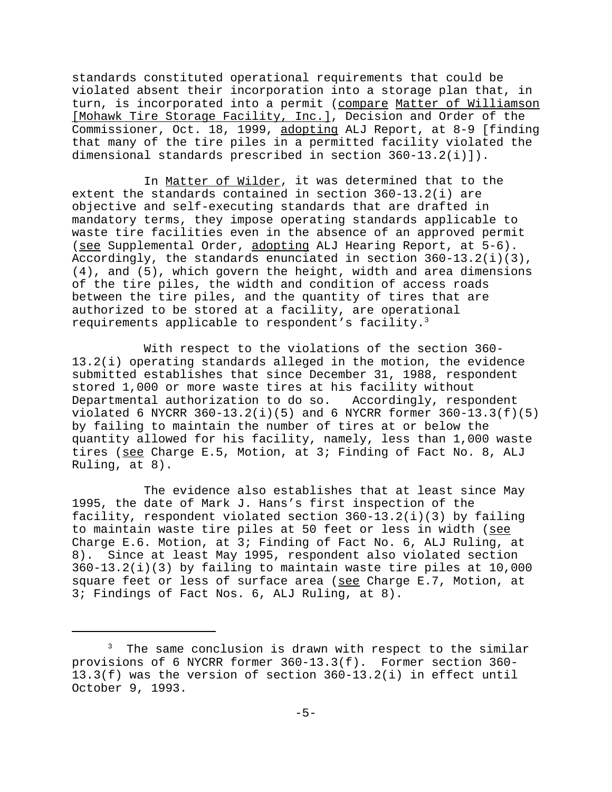standards constituted operational requirements that could be violated absent their incorporation into a storage plan that, in turn, is incorporated into a permit (compare Matter of Williamson [Mohawk Tire Storage Facility, Inc.], Decision and Order of the Commissioner, Oct. 18, 1999, adopting ALJ Report, at 8-9 [finding that many of the tire piles in a permitted facility violated the dimensional standards prescribed in section 360-13.2(i)]).

In Matter of Wilder, it was determined that to the extent the standards contained in section 360-13.2(i) are objective and self-executing standards that are drafted in mandatory terms, they impose operating standards applicable to waste tire facilities even in the absence of an approved permit (see Supplemental Order, adopting ALJ Hearing Report, at 5-6). Accordingly, the standards enunciated in section  $360-13.2(i)(3)$ , (4), and (5), which govern the height, width and area dimensions of the tire piles, the width and condition of access roads between the tire piles, and the quantity of tires that are authorized to be stored at a facility, are operational requirements applicable to respondent's facility.<sup>3</sup>

With respect to the violations of the section 360- 13.2(i) operating standards alleged in the motion, the evidence submitted establishes that since December 31, 1988, respondent stored 1,000 or more waste tires at his facility without Departmental authorization to do so. Accordingly, respondent  $violated 6 NYCRR 360-13.2(i)(5) and 6 NYCRR former 360-13.3(f)(5)$ by failing to maintain the number of tires at or below the quantity allowed for his facility, namely, less than 1,000 waste tires (see Charge E.5, Motion, at 3; Finding of Fact No. 8, ALJ Ruling, at 8).

The evidence also establishes that at least since May 1995, the date of Mark J. Hans's first inspection of the facility, respondent violated section 360-13.2(i)(3) by failing to maintain waste tire piles at 50 feet or less in width (see Charge E.6. Motion, at 3; Finding of Fact No. 6, ALJ Ruling, at 8). Since at least May 1995, respondent also violated section 360-13.2(i)(3) by failing to maintain waste tire piles at 10,000 square feet or less of surface area (see Charge E.7, Motion, at 3; Findings of Fact Nos. 6, ALJ Ruling, at 8).

<sup>&</sup>lt;sup>3</sup> The same conclusion is drawn with respect to the similar provisions of 6 NYCRR former 360-13.3(f). Former section 360- 13.3(f) was the version of section 360-13.2(i) in effect until October 9, 1993.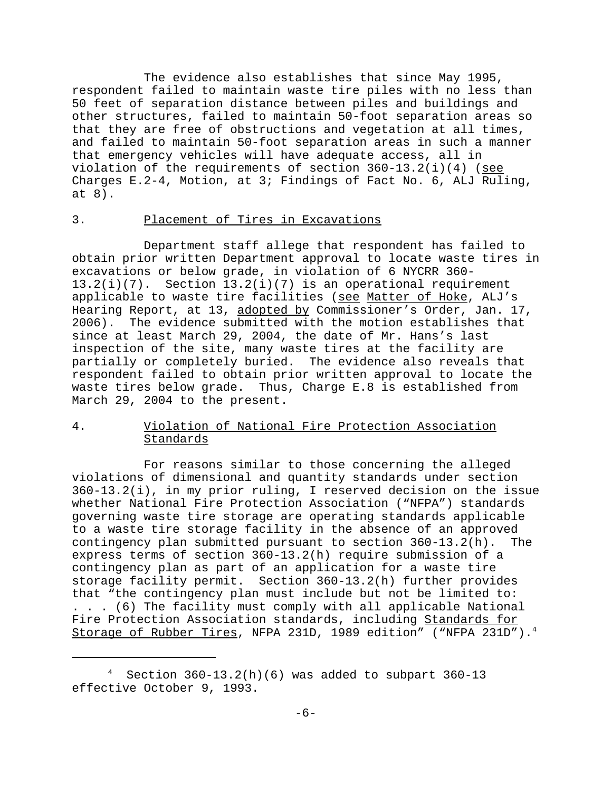The evidence also establishes that since May 1995, respondent failed to maintain waste tire piles with no less than 50 feet of separation distance between piles and buildings and other structures, failed to maintain 50-foot separation areas so that they are free of obstructions and vegetation at all times, and failed to maintain 50-foot separation areas in such a manner that emergency vehicles will have adequate access, all in violation of the requirements of section  $360-13.2(i)(4)$  (see Charges E.2-4, Motion, at 3; Findings of Fact No. 6, ALJ Ruling, at 8).

# 3. Placement of Tires in Excavations

Department staff allege that respondent has failed to obtain prior written Department approval to locate waste tires in excavations or below grade, in violation of 6 NYCRR 360- 13.2(i)(7). Section 13.2(i)(7) is an operational requirement applicable to waste tire facilities (see Matter of Hoke, ALJ's Hearing Report, at 13, adopted by Commissioner's Order, Jan. 17, 2006). The evidence submitted with the motion establishes that since at least March 29, 2004, the date of Mr. Hans's last inspection of the site, many waste tires at the facility are partially or completely buried. The evidence also reveals that respondent failed to obtain prior written approval to locate the waste tires below grade. Thus, Charge E.8 is established from March 29, 2004 to the present.

# 4. Violation of National Fire Protection Association Standards

For reasons similar to those concerning the alleged violations of dimensional and quantity standards under section 360-13.2(i), in my prior ruling, I reserved decision on the issue whether National Fire Protection Association ("NFPA") standards governing waste tire storage are operating standards applicable to a waste tire storage facility in the absence of an approved contingency plan submitted pursuant to section 360-13.2(h). The express terms of section 360-13.2(h) require submission of a contingency plan as part of an application for a waste tire storage facility permit. Section 360-13.2(h) further provides that "the contingency plan must include but not be limited to: . . . (6) The facility must comply with all applicable National Fire Protection Association standards, including Standards for Storage of Rubber Tires, NFPA 231D, 1989 edition" ("NFPA 231D").4

<sup>4</sup> Section  $360-13.2(h)(6)$  was added to subpart  $360-13$ effective October 9, 1993.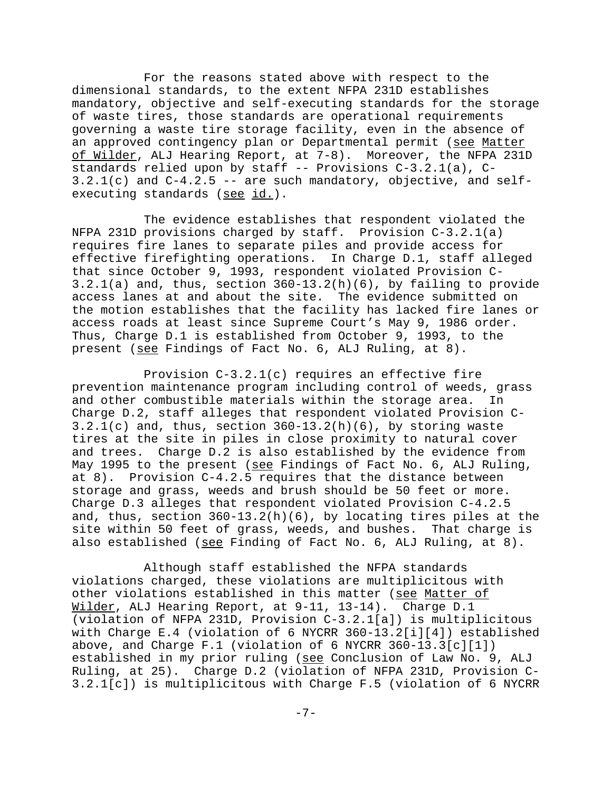For the reasons stated above with respect to the dimensional standards, to the extent NFPA 231D establishes mandatory, objective and self-executing standards for the storage of waste tires, those standards are operational requirements governing a waste tire storage facility, even in the absence of an approved contingency plan or Departmental permit (see Matter of Wilder, ALJ Hearing Report, at 7-8). Moreover, the NFPA 231D standards relied upon by staff -- Provisions C-3.2.1(a), C- $3.2.1(c)$  and  $C-4.2.5$  -- are such mandatory, objective, and selfexecuting standards (see id.).

The evidence establishes that respondent violated the NFPA 231D provisions charged by staff. Provision C-3.2.1(a) requires fire lanes to separate piles and provide access for effective firefighting operations. In Charge D.1, staff alleged that since October 9, 1993, respondent violated Provision C-3.2.1(a) and, thus, section 360-13.2(h)(6), by failing to provide access lanes at and about the site. The evidence submitted on the motion establishes that the facility has lacked fire lanes or access roads at least since Supreme Court's May 9, 1986 order. Thus, Charge D.1 is established from October 9, 1993, to the present (see Findings of Fact No. 6, ALJ Ruling, at 8).

Provision C-3.2.1(c) requires an effective fire prevention maintenance program including control of weeds, grass and other combustible materials within the storage area. In Charge D.2, staff alleges that respondent violated Provision C- $3.2.1(c)$  and, thus, section  $360-13.2(h)(6)$ , by storing waste tires at the site in piles in close proximity to natural cover and trees. Charge D.2 is also established by the evidence from May 1995 to the present (see Findings of Fact No. 6, ALJ Ruling, at 8). Provision C-4.2.5 requires that the distance between storage and grass, weeds and brush should be 50 feet or more. Charge D.3 alleges that respondent violated Provision C-4.2.5 and, thus, section 360-13.2(h)(6), by locating tires piles at the site within 50 feet of grass, weeds, and bushes. That charge is also established (see Finding of Fact No. 6, ALJ Ruling, at 8).

Although staff established the NFPA standards violations charged, these violations are multiplicitous with other violations established in this matter (see Matter of Wilder, ALJ Hearing Report, at 9-11, 13-14). Charge D.1 (violation of NFPA 231D, Provision C-3.2.1[a]) is multiplicitous with Charge E.4 (violation of 6 NYCRR 360-13.2[i][4]) established above, and Charge F.1 (violation of 6 NYCRR  $360-13.3[c][1])$ established in my prior ruling (see Conclusion of Law No. 9, ALJ Ruling, at 25). Charge D.2 (violation of NFPA 231D, Provision C-3.2.1[c]) is multiplicitous with Charge F.5 (violation of 6 NYCRR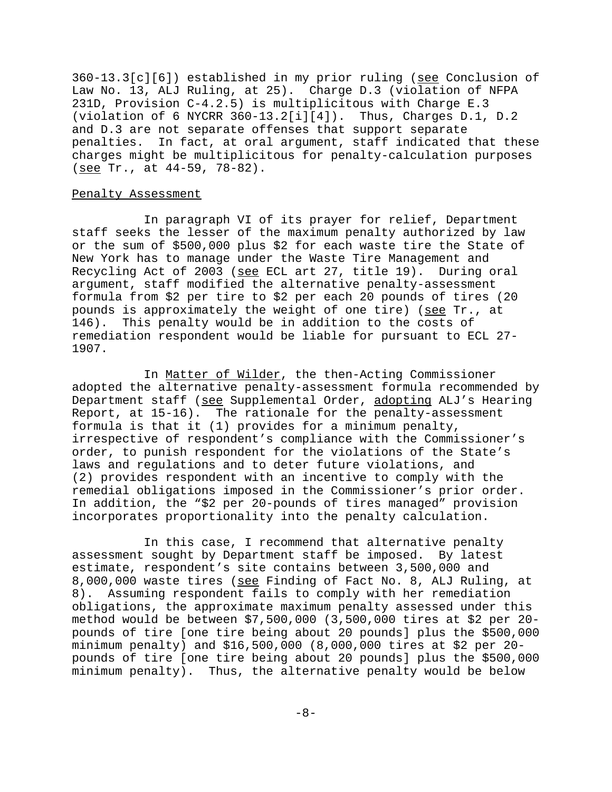360-13.3[c][6]) established in my prior ruling (see Conclusion of Law No. 13, ALJ Ruling, at 25). Charge D.3 (violation of NFPA 231D, Provision C-4.2.5) is multiplicitous with Charge E.3 (violation of 6 NYCRR  $360-13.2[i][4]$ ). Thus, Charges D.1, D.2 and D.3 are not separate offenses that support separate penalties. In fact, at oral argument, staff indicated that these charges might be multiplicitous for penalty-calculation purposes (see Tr., at 44-59, 78-82).

# Penalty Assessment

In paragraph VI of its prayer for relief, Department staff seeks the lesser of the maximum penalty authorized by law or the sum of \$500,000 plus \$2 for each waste tire the State of New York has to manage under the Waste Tire Management and Recycling Act of 2003 (see ECL art 27, title 19). During oral argument, staff modified the alternative penalty-assessment formula from \$2 per tire to \$2 per each 20 pounds of tires (20 pounds is approximately the weight of one tire) (see Tr., at 146). This penalty would be in addition to the costs of remediation respondent would be liable for pursuant to ECL 27- 1907.

In Matter of Wilder, the then-Acting Commissioner adopted the alternative penalty-assessment formula recommended by Department staff (see Supplemental Order, adopting ALJ's Hearing Report, at 15-16). The rationale for the penalty-assessment formula is that it (1) provides for a minimum penalty, irrespective of respondent's compliance with the Commissioner's order, to punish respondent for the violations of the State's laws and regulations and to deter future violations, and (2) provides respondent with an incentive to comply with the remedial obligations imposed in the Commissioner's prior order. In addition, the "\$2 per 20-pounds of tires managed" provision incorporates proportionality into the penalty calculation.

In this case, I recommend that alternative penalty assessment sought by Department staff be imposed. By latest estimate, respondent's site contains between 3,500,000 and 8,000,000 waste tires (see Finding of Fact No. 8, ALJ Ruling, at 8). Assuming respondent fails to comply with her remediation obligations, the approximate maximum penalty assessed under this method would be between \$7,500,000 (3,500,000 tires at \$2 per 20 pounds of tire [one tire being about 20 pounds] plus the \$500,000 minimum penalty) and \$16,500,000 (8,000,000 tires at \$2 per 20 pounds of tire [one tire being about 20 pounds] plus the \$500,000 minimum penalty). Thus, the alternative penalty would be below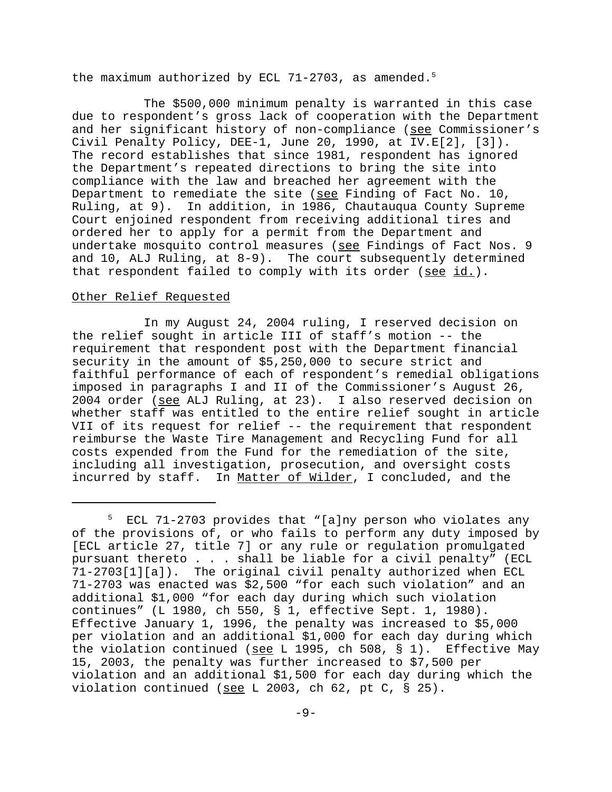the maximum authorized by ECL 71-2703, as amended.<sup>5</sup>

The \$500,000 minimum penalty is warranted in this case due to respondent's gross lack of cooperation with the Department and her significant history of non-compliance (see Commissioner's Civil Penalty Policy, DEE-1, June 20, 1990, at IV.E[2], [3]). The record establishes that since 1981, respondent has ignored the Department's repeated directions to bring the site into compliance with the law and breached her agreement with the Department to remediate the site (see Finding of Fact No. 10, Ruling, at 9). In addition, in 1986, Chautauqua County Supreme Court enjoined respondent from receiving additional tires and ordered her to apply for a permit from the Department and undertake mosquito control measures (see Findings of Fact Nos. 9 and 10, ALJ Ruling, at 8-9). The court subsequently determined that respondent failed to comply with its order (see id.).

# Other Relief Requested

In my August 24, 2004 ruling, I reserved decision on the relief sought in article III of staff's motion -- the requirement that respondent post with the Department financial security in the amount of \$5,250,000 to secure strict and faithful performance of each of respondent's remedial obligations imposed in paragraphs I and II of the Commissioner's August 26, 2004 order (see ALJ Ruling, at 23). I also reserved decision on whether staff was entitled to the entire relief sought in article VII of its request for relief -- the requirement that respondent reimburse the Waste Tire Management and Recycling Fund for all costs expended from the Fund for the remediation of the site, including all investigation, prosecution, and oversight costs incurred by staff. In Matter of Wilder, I concluded, and the

<sup>5</sup> ECL 71-2703 provides that "[a]ny person who violates any of the provisions of, or who fails to perform any duty imposed by [ECL article 27, title 7] or any rule or regulation promulgated pursuant thereto . . . shall be liable for a civil penalty" (ECL 71-2703[1][a]). The original civil penalty authorized when ECL 71-2703 was enacted was \$2,500 "for each such violation" and an additional \$1,000 "for each day during which such violation continues" (L 1980, ch 550, § 1, effective Sept. 1, 1980). Effective January 1, 1996, the penalty was increased to \$5,000 per violation and an additional \$1,000 for each day during which the violation continued (see L 1995, ch 508, § 1). Effective May 15, 2003, the penalty was further increased to \$7,500 per violation and an additional \$1,500 for each day during which the violation continued (see L 2003, ch 62, pt C, § 25).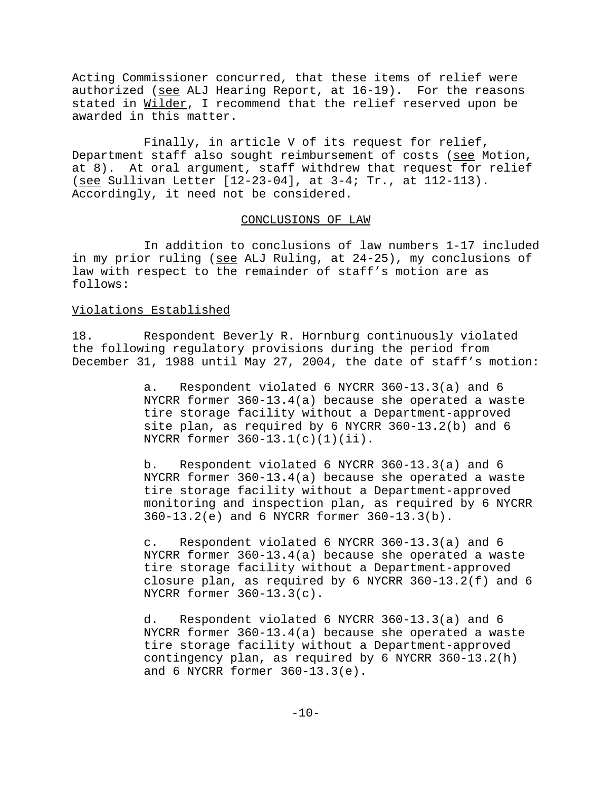Acting Commissioner concurred, that these items of relief were authorized (see ALJ Hearing Report, at  $16-19$ ). For the reasons stated in Wilder, I recommend that the relief reserved upon be awarded in this matter.

Finally, in article V of its request for relief, Department staff also sought reimbursement of costs (see Motion, at 8). At oral argument, staff withdrew that request for relief (see Sullivan Letter [12-23-04], at 3-4; Tr., at 112-113). Accordingly, it need not be considered.

### CONCLUSIONS OF LAW

In addition to conclusions of law numbers 1-17 included in my prior ruling (see ALJ Ruling, at 24-25), my conclusions of law with respect to the remainder of staff's motion are as follows:

# Violations Established

18. Respondent Beverly R. Hornburg continuously violated the following regulatory provisions during the period from December 31, 1988 until May 27, 2004, the date of staff's motion:

> a. Respondent violated 6 NYCRR 360-13.3(a) and 6 NYCRR former 360-13.4(a) because she operated a waste tire storage facility without a Department-approved site plan, as required by 6 NYCRR 360-13.2(b) and 6 NYCRR former 360-13.1(c)(1)(ii).

b. Respondent violated 6 NYCRR 360-13.3(a) and 6 NYCRR former 360-13.4(a) because she operated a waste tire storage facility without a Department-approved monitoring and inspection plan, as required by 6 NYCRR 360-13.2(e) and 6 NYCRR former 360-13.3(b).

c. Respondent violated 6 NYCRR 360-13.3(a) and 6 NYCRR former 360-13.4(a) because she operated a waste tire storage facility without a Department-approved closure plan, as required by 6 NYCRR 360-13.2(f) and 6 NYCRR former 360-13.3(c).

d. Respondent violated 6 NYCRR 360-13.3(a) and 6 NYCRR former 360-13.4(a) because she operated a waste tire storage facility without a Department-approved contingency plan, as required by 6 NYCRR 360-13.2(h) and 6 NYCRR former 360-13.3(e).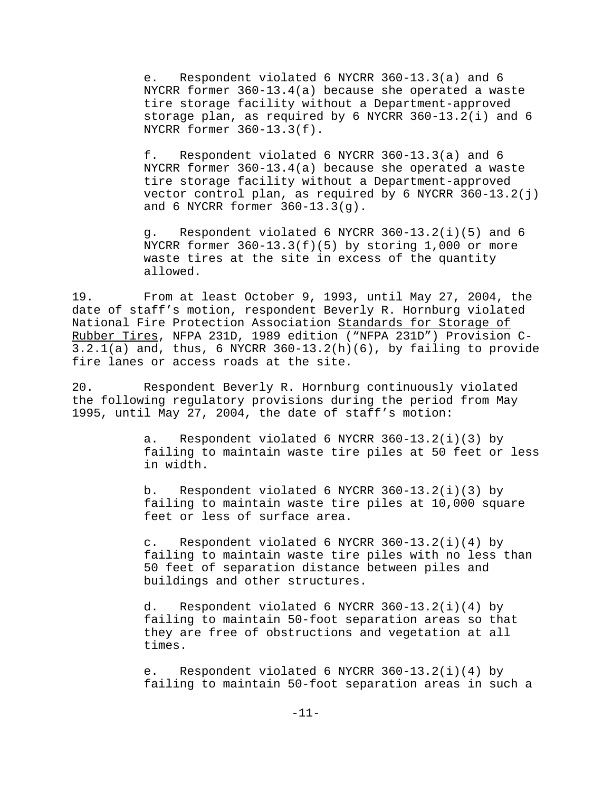e. Respondent violated 6 NYCRR 360-13.3(a) and 6 NYCRR former 360-13.4(a) because she operated a waste tire storage facility without a Department-approved storage plan, as required by 6 NYCRR 360-13.2(i) and 6 NYCRR former 360-13.3(f).

f. Respondent violated 6 NYCRR 360-13.3(a) and 6 NYCRR former 360-13.4(a) because she operated a waste tire storage facility without a Department-approved vector control plan, as required by 6 NYCRR  $360-13.2(j)$ and 6 NYCRR former 360-13.3(g).

g. Respondent violated 6 NYCRR 360-13.2(i)(5) and 6 NYCRR former  $360-13.3(f)(5)$  by storing 1,000 or more waste tires at the site in excess of the quantity allowed.

19. From at least October 9, 1993, until May 27, 2004, the date of staff's motion, respondent Beverly R. Hornburg violated National Fire Protection Association Standards for Storage of Rubber Tires, NFPA 231D, 1989 edition ("NFPA 231D") Provision C- $3.2.1(a)$  and, thus, 6 NYCRR  $360-13.2(h)(6)$ , by failing to provide fire lanes or access roads at the site.

20. Respondent Beverly R. Hornburg continuously violated the following regulatory provisions during the period from May 1995, until May 27, 2004, the date of staff's motion:

> a. Respondent violated 6 NYCRR 360-13.2(i)(3) by failing to maintain waste tire piles at 50 feet or less in width.

b. Respondent violated 6 NYCRR 360-13.2(i)(3) by failing to maintain waste tire piles at 10,000 square feet or less of surface area.

c. Respondent violated 6 NYCRR 360-13.2(i)(4) by failing to maintain waste tire piles with no less than 50 feet of separation distance between piles and buildings and other structures.

d. Respondent violated 6 NYCRR 360-13.2(i)(4) by failing to maintain 50-foot separation areas so that they are free of obstructions and vegetation at all times.

e. Respondent violated 6 NYCRR 360-13.2(i)(4) by failing to maintain 50-foot separation areas in such a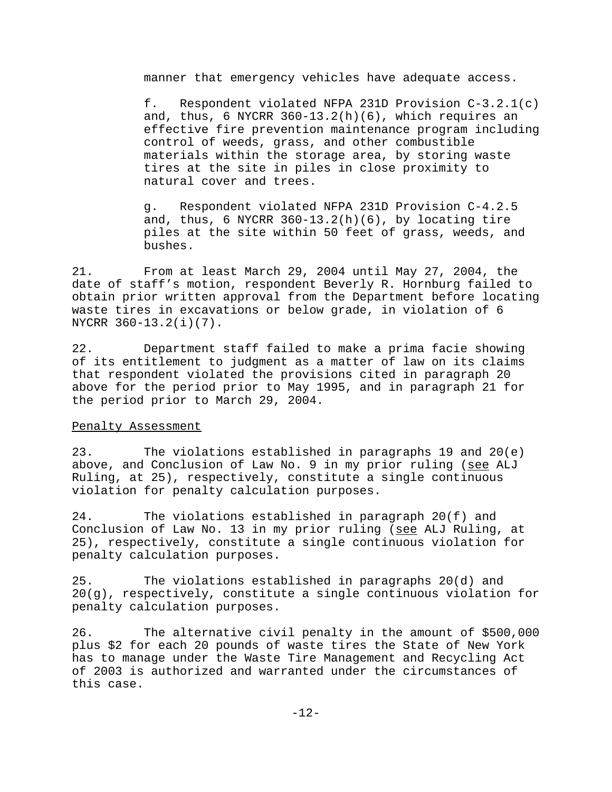manner that emergency vehicles have adequate access.

f. Respondent violated NFPA 231D Provision C-3.2.1(c) and, thus, 6 NYCRR  $360-13.2(h)(6)$ , which requires an effective fire prevention maintenance program including control of weeds, grass, and other combustible materials within the storage area, by storing waste tires at the site in piles in close proximity to natural cover and trees.

g. Respondent violated NFPA 231D Provision C-4.2.5 and, thus,  $6$  NYCRR  $360-13.2(h)(6)$ , by locating tire piles at the site within 50 feet of grass, weeds, and bushes.

21. From at least March 29, 2004 until May 27, 2004, the date of staff's motion, respondent Beverly R. Hornburg failed to obtain prior written approval from the Department before locating waste tires in excavations or below grade, in violation of 6 NYCRR 360-13.2(i)(7).

22. Department staff failed to make a prima facie showing of its entitlement to judgment as a matter of law on its claims that respondent violated the provisions cited in paragraph 20 above for the period prior to May 1995, and in paragraph 21 for the period prior to March 29, 2004.

# Penalty Assessment

23. The violations established in paragraphs 19 and 20(e) above, and Conclusion of Law No. 9 in my prior ruling (see ALJ Ruling, at 25), respectively, constitute a single continuous violation for penalty calculation purposes.

24. The violations established in paragraph 20(f) and Conclusion of Law No. 13 in my prior ruling (see ALJ Ruling, at 25), respectively, constitute a single continuous violation for penalty calculation purposes.

25. The violations established in paragraphs 20(d) and 20(g), respectively, constitute a single continuous violation for penalty calculation purposes.

26. The alternative civil penalty in the amount of \$500,000 plus \$2 for each 20 pounds of waste tires the State of New York has to manage under the Waste Tire Management and Recycling Act of 2003 is authorized and warranted under the circumstances of this case.